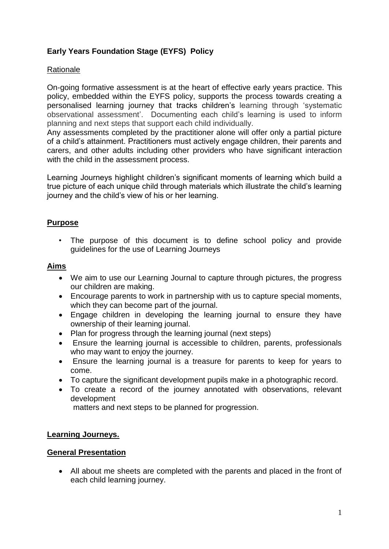# **Early Years Foundation Stage (EYFS) Policy**

# Rationale

On-going formative assessment is at the heart of effective early years practice. This policy, embedded within the EYFS policy, supports the process towards creating a personalised learning journey that tracks children's learning through 'systematic observational assessment'. Documenting each child's learning is used to inform planning and next steps that support each child individually.

Any assessments completed by the practitioner alone will offer only a partial picture of a child's attainment. Practitioners must actively engage children, their parents and carers, and other adults including other providers who have significant interaction with the child in the assessment process.

Learning Journeys highlight children's significant moments of learning which build a true picture of each unique child through materials which illustrate the child's learning journey and the child's view of his or her learning.

### **Purpose**

• The purpose of this document is to define school policy and provide guidelines for the use of Learning Journeys

### **Aims**

- We aim to use our Learning Journal to capture through pictures, the progress our children are making.
- Encourage parents to work in partnership with us to capture special moments, which they can become part of the journal.
- Engage children in developing the learning journal to ensure they have ownership of their learning journal.
- Plan for progress through the learning journal (next steps)
- Ensure the learning journal is accessible to children, parents, professionals who may want to enjoy the journey.
- Ensure the learning journal is a treasure for parents to keep for years to come.
- To capture the significant development pupils make in a photographic record.
- To create a record of the journey annotated with observations, relevant development

matters and next steps to be planned for progression.

# **Learning Journeys.**

### **General Presentation**

 All about me sheets are completed with the parents and placed in the front of each child learning journey.